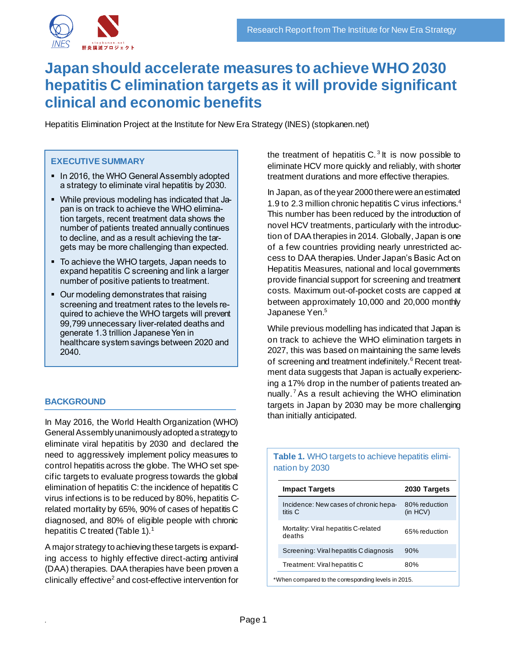

# **Japan should accelerate measures to achieve WHO 2030 hepatitis C elimination targets as it will provide significant clinical and economic benefits**

Hepatitis Elimination Project at the Institute for New Era Strategy (INES) (stopkanen.net)

### **EXECUTIVE SUMMARY**

- In 2016, the WHO General Assembly adopted a strategy to eliminate viral hepatitis by 2030.
- While previous modeling has indicated that Japan is on track to achieve the WHO elimination targets, recent treatment data shows the number of patients treated annually continues to decline, and as a result achieving the targets may be more challenging than expected.
- To achieve the WHO targets, Japan needs to expand hepatitis C screening and link a larger number of positive patients to treatment.
- Our modeling demonstrates that raising screening and treatment rates to the levels required to achieve the WHO targets will prevent 99,799 unnecessary liver-related deaths and generate 1.3 trillion Japanese Yen in healthcare system savings between 2020 and 2040.

# **BACKGROUND**

In May 2016, the World Health Organization (WHO) General Assembly unanimously adopted a strategy to eliminate viral hepatitis by 2030 and declared the need to aggressively implement policy measures to control hepatitis across the globe. The WHO set specific targets to evaluate progress towards the global elimination of hepatitis C: the incidence of hepatitis C virus infections is to be reduced by 80%, hepatitis Crelated mortality by 65%, 90% of cases of hepatitis C diagnosed, and 80% of eligible people with chronic hepatitis C treated (Table 1).<sup>1</sup>

A major strategy to achieving these targets is expanding access to highly effective direct-acting antiviral (DAA) therapies. DAA therapies have been proven a clinically effective<sup>2</sup> and cost-effective intervention for

the treatment of hepatitis  $C<sup>3</sup>$  It is now possible to eliminate HCV more quickly and reliably, with shorter treatment durations and more effective therapies.

In Japan, as of the year 2000 there were an estimated 1.9 to 2.3 million chronic hepatitis C virus infections.<sup>4</sup> This number has been reduced by the introduction of novel HCV treatments, particularly with the introduction of DAA therapies in 2014. Globally, Japan is one of a few countries providing nearly unrestricted access to DAA therapies. Under Japan's Basic Act on Hepatitis Measures, national and local governments provide financial support for screening and treatment costs. Maximum out-of-pocket costs are capped at between approximately 10,000 and 20,000 monthly Japanese Yen. 5

While previous modelling has indicated that Japan is on track to achieve the WHO elimination targets in 2027, this was based on maintaining the same levels of screening and treatment indefinitely. <sup>6</sup> Recent treatment data suggests that Japan is actually experiencing a 17% drop in the number of patients treated annually.<sup>7</sup> As a result achieving the WHO elimination targets in Japan by 2030 may be more challenging than initially anticipated.

## **Table 1.** WHO targets to achieve hepatitis elimination by 2030

| <b>Impact Targets</b>                            | 2030 Targets                   |
|--------------------------------------------------|--------------------------------|
| Incidence: New cases of chronic hepa-<br>titis C | 80% reduction<br>$(in$ HCV $)$ |
| Mortality: Viral hepatitis C-related<br>deaths   | 65% reduction                  |
| Screening: Viral hepatitis C diagnosis           | 90%                            |
| Treatment: Viral hepatitis C                     | 80%                            |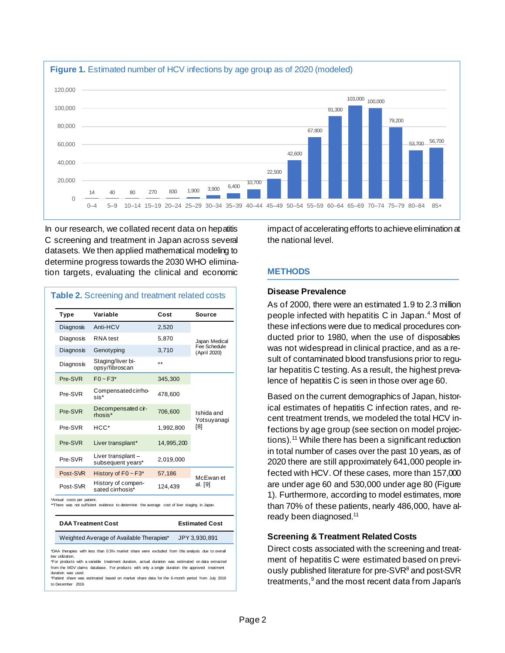

In our research, we collated recent data on hepatitis C screening and treatment in Japan across several datasets. We then applied mathematical modeling to determine progress towards the 2030 WHO elimination targets, evaluating the clinical and economic

| Type                       | Variable                                                                                     | Cost       | Source                                        |  |
|----------------------------|----------------------------------------------------------------------------------------------|------------|-----------------------------------------------|--|
| Diagnosis                  | Anti-HCV                                                                                     | 2,520      |                                               |  |
| Diagnosis                  | RNA test                                                                                     | 5,870      | Japan Medical<br>Fee Schedule<br>(April 2020) |  |
| Diagnosis                  | Genotyping                                                                                   | 3,710      |                                               |  |
| Diagnosis                  | Staging/liver bi-<br>opsy/fibroscan                                                          | $***$      |                                               |  |
| Pre-SVR                    | $FO \sim F3*$                                                                                | 345,300    |                                               |  |
| Pre-SVR                    | Compensated cirrho-<br>sis*                                                                  | 478,600    | Ishida and<br>Yotsuyanagi<br>[8]              |  |
| Pre-SVR                    | Decompensated cir-<br>rhosis*                                                                | 706,600    |                                               |  |
| Pre-SVR                    | $HCC*$                                                                                       | 1,992,800  |                                               |  |
| Pre-SVR                    | Liver transplant*                                                                            | 14,995,200 |                                               |  |
| Pre-SVR                    | Liver transplant -<br>subsequent years*                                                      | 2,019,000  |                                               |  |
| Post-SVR                   | History of $F0 \sim F3$ <sup>*</sup>                                                         | 57,186     | McEwan et                                     |  |
| Post-SVR                   | History of compen-<br>sated cirrhosis*                                                       | 124,439    | al. [9]                                       |  |
| *Annual costs per patient. | **There was not sufficient evidence to determine the average cost of liver staging in Japan. |            |                                               |  |
| <b>DAA Treatment Cost</b>  |                                                                                              |            | <b>Estimated Cost</b>                         |  |
|                            | Weighted Average of Available Therapies*                                                     |            | JPY 3,930,891                                 |  |

\*For products with a variable treatment duration, actual duration was estimated on data extracted from the MDV claims database. For products with only a single duration the approved treatment duration was used.

\*Patient share was estimated based on market share data for the 6-month period from July 2019 to December 2019.

impact of accelerating efforts to achieve elimination at the national level.

# **METHODS**

## **Disease Prevalence**

As of 2000, there were an estimated 1.9 to 2.3 million people infected with hepatitis C in Japan. <sup>4</sup> Most of these infections were due to medical procedures conducted prior to 1980, when the use of disposables was not widespread in clinical practice, and as a result of contaminated blood transfusions prior to regular hepatitis C testing. As a result, the highest prevalence of hepatitis C is seen in those over age 60.

Based on the current demographics of Japan, historical estimates of hepatitis C infection rates, and recent treatment trends, we modeled the total HCV infections by age group (see section on model projections). <sup>11</sup> While there has been a significant reduction in total number of cases over the past 10 years, as of 2020 there are still approximately 641,000 people infected with HCV. Of these cases, more than 157,000 are under age 60 and 530,000 under age 80 (Figure 1). Furthermore, according to model estimates, more than 70% of these patients, nearly 486,000, have already been diagnosed.<sup>11</sup>

# **Screening & Treatment Related Costs**

Direct costs associated with the screening and treatment of hepatitis C were estimated based on previously published literature for pre-SVR<sup>8</sup> and post-SVR treatments, <sup>9</sup> and the most recent data from Japan's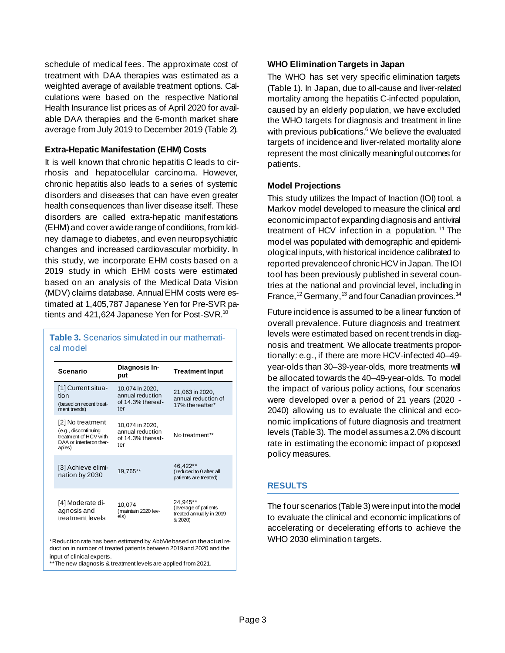schedule of medical fees. The approximate cost of treatment with DAA therapies was estimated as a weighted average of available treatment options. Calculations were based on the respective National Health Insurance list prices as of April 2020 for available DAA therapies and the 6-month market share average from July 2019 to December 2019 (Table 2).

### **Extra-Hepatic Manifestation (EHM) Costs**

It is well known that chronic hepatitis C leads to cirrhosis and hepatocellular carcinoma. However, chronic hepatitis also leads to a series of systemic disorders and diseases that can have even greater health consequences than liver disease itself. These disorders are called extra-hepatic manifestations (EHM)and cover a wide range of conditions, from kidney damage to diabetes, and even neuropsychiatric changes and increased cardiovascular morbidity. In this study, we incorporate EHM costs based on a 2019 study in which EHM costs were estimated based on an analysis of the Medical Data Vision (MDV) claims database. Annual EHM costs were estimated at 1,405,787 Japanese Yen for Pre-SVR patients and 421,624 Japanese Yen for Post-SVR.<sup>10</sup>

| cal model                                                                                              |                                                                 |                                                                         |
|--------------------------------------------------------------------------------------------------------|-----------------------------------------------------------------|-------------------------------------------------------------------------|
| <b>Scenario</b>                                                                                        | Diagnosis In-<br>put                                            | <b>Treatment Input</b>                                                  |
| [1] Current situa-<br>tion<br>(based on recent treat-<br>ment trends)                                  | 10,074 in 2020,<br>annual reduction<br>of 14.3% thereaf-<br>ter | 21,063 in 2020,<br>annual reduction of<br>17% thereafter*               |
| [2] No treatment<br>(e.g., discontinuing<br>treatment of HCV with<br>DAA or interferon ther-<br>apies) | 10,074 in 2020,<br>annual reduction<br>of 14.3% thereaf-<br>ter | No treatment**                                                          |
| [3] Achieve elimi-<br>nation by 2030                                                                   | 19,765**                                                        | 46.422**<br>(reduced to 0 after all<br>patients are treated)            |
| [4] Moderate di-<br>agnosis and<br>treatment levels                                                    | 10,074<br>(maintain 2020 lev-<br>els)                           | 24.945**<br>(average of patients<br>treated annually in 2019<br>& 2020) |

**Table 3.** Scenarios simulated in our mathemati-

\*Reduction rate has been estimated by AbbVie based on the actual reduction in number of treated patients between 2019 and 2020 and the input of clinical experts.

\*\*The new diagnosis & treatment levels are applied from 2021.

#### **WHO Elimination Targets in Japan**

The WHO has set very specific elimination targets (Table 1). In Japan, due to all-cause and liver-related mortality among the hepatitis C-infected population, caused by an elderly population, we have excluded the WHO targets for diagnosis and treatment in line with previous publications. <sup>6</sup> We believe the evaluated targets of incidence and liver-related mortality alone represent the most clinically meaningful outcomes for patients.

#### **Model Projections**

This study utilizes the Impact of Inaction (IOI) tool, a Markov model developed to measure the clinical and economic impact of expanding diagnosis and antiviral treatment of HCV infection in a population.  $11$  The model was populated with demographic and epidemiological inputs, with historical incidence calibrated to reported prevalence of chronic HCV in Japan. The IOI tool has been previously published in several countries at the national and provincial level, including in France, <sup>12</sup> Germany, <sup>13</sup> and four Canadian provinces. <sup>14</sup>

Future incidence is assumed to be a linear function of overall prevalence. Future diagnosis and treatment levels were estimated based on recent trends in diagnosis and treatment. We allocate treatments proportionally: e.g., if there are more HCV-infected 40–49 year-olds than 30–39-year-olds, more treatments will be allocated towards the 40–49-year-olds. To model the impact of various policy actions, four scenarios were developed over a period of 21 years (2020 - 2040) allowing us to evaluate the clinical and economic implications of future diagnosis and treatment levels (Table 3). The model assumes a 2.0% discount rate in estimating the economic impact of proposed policy measures.

# **RESULTS**

The four scenarios (Table 3) were input into the model to evaluate the clinical and economic implications of accelerating or decelerating efforts to achieve the WHO 2030 elimination targets.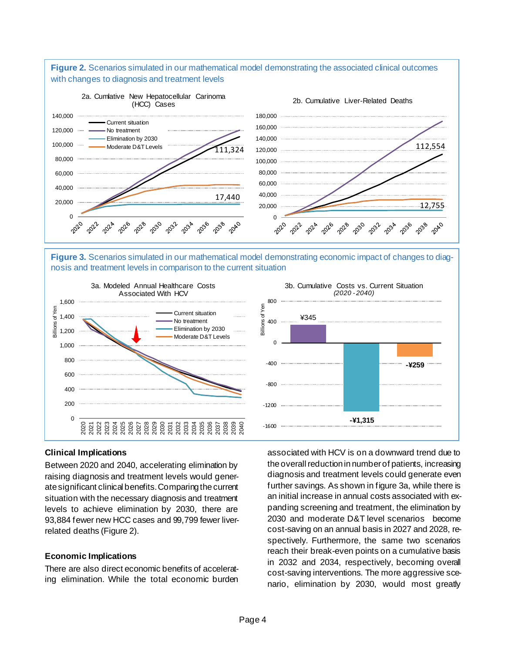

**Figure 3.** Scenarios simulated in our mathematical model demonstrating economic impact of changes to diagnosis and treatment levels in comparison to the current situation





#### **Clinical Implications**

Between 2020 and 2040, accelerating elimination by raising diagnosis and treatment levels would generate significant clinical benefits. Comparing the current situation with the necessary diagnosis and treatment levels to achieve elimination by 2030, there are 93,884 fewer new HCC cases and 99,799 fewer liverrelated deaths (Figure 2).

#### **Economic Implications**

There are also direct economic benefits of accelerating elimination. While the total economic burden associated with HCV is on a downward trend due to the overall reduction in number of patients, increasing diagnosis and treatment levels could generate even further savings. As shown in figure 3a, while there is an initial increase in annual costs associated with expanding screening and treatment, the elimination by 2030 and moderate D&T level scenarios become cost-saving on an annual basis in 2027 and 2028, respectively. Furthermore, the same two scenarios reach their break-even points on a cumulative basis in 2032 and 2034, respectively, becoming overall cost-saving interventions. The more aggressive scenario, elimination by 2030, would most greatly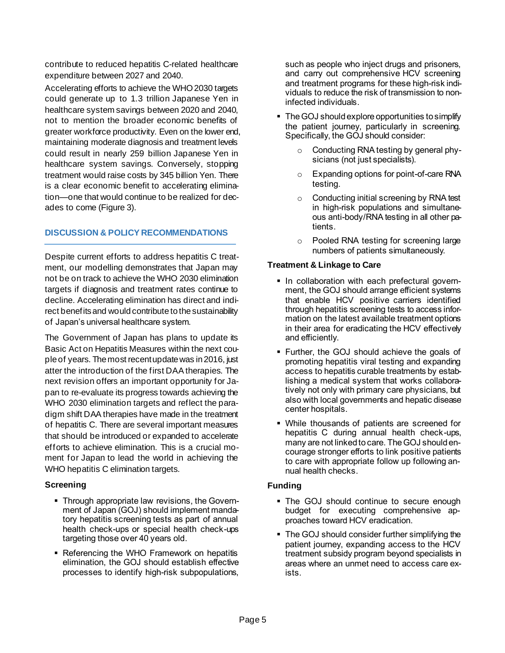contribute to reduced hepatitis C-related healthcare expenditure between 2027 and 2040.

Accelerating efforts to achieve the WHO 2030 targets could generate up to 1.3 trillion Japanese Yen in healthcare system savings between 2020 and 2040, not to mention the broader economic benefits of greater workforce productivity. Even on the lower end, maintaining moderate diagnosis and treatment levels could result in nearly 259 billion Japanese Yen in healthcare system savings. Conversely, stopping treatment would raise costs by 345 billion Yen. There is a clear economic benefit to accelerating elimination—one that would continue to be realized for decades to come (Figure 3).

## **DISCUSSION & POLICY RECOMMENDATIONS**

Despite current efforts to address hepatitis C treatment, our modelling demonstrates that Japan may not be on track to achieve the WHO 2030 elimination targets if diagnosis and treatment rates continue to decline. Accelerating elimination has direct and indirect benefits and would contribute to the sustainability of Japan's universal healthcare system.

The Government of Japan has plans to update its Basic Act on Hepatitis Measures within the next couple of years. The most recent update was in 2016, just atter the introduction of the first DAA therapies. The next revision offers an important opportunity for Japan to re-evaluate its progress towards achieving the WHO 2030 elimination targets and reflect the paradigm shift DAA therapies have made in the treatment of hepatitis C. There are several important measures that should be introduced or expanded to accelerate efforts to achieve elimination. This is a crucial moment for Japan to lead the world in achieving the WHO hepatitis C elimination targets.

# **Screening**

- **Through appropriate law revisions, the Govern**ment of Japan (GOJ) should implement mandatory hepatitis screening tests as part of annual health check-ups or special health check-ups targeting those over 40 years old.
- Referencing the WHO Framework on hepatitis elimination, the GOJ should establish effective processes to identify high-risk subpopulations,

such as people who inject drugs and prisoners, and carry out comprehensive HCV screening and treatment programs for these high-risk individuals to reduce the risk of transmission to noninfected individuals.

- The GOJ should explore opportunities to simplify the patient journey, particularly in screening. Specifically, the GOJ should consider:
	- Conducting RNA testing by general physicians (not just specialists).
	- o Expanding options for point-of-care RNA testing.
	- o Conducting initial screening by RNA test in high-risk populations and simultaneous anti-body/RNA testing in all other patients.
	- o Pooled RNA testing for screening large numbers of patients simultaneously.

## **Treatment & Linkage to Care**

- **.** In collaboration with each prefectural government, the GOJ should arrange efficient systems that enable HCV positive carriers identified through hepatitis screening tests to access information on the latest available treatment options in their area for eradicating the HCV effectively and efficiently.
- Further, the GOJ should achieve the goals of promoting hepatitis viral testing and expanding access to hepatitis curable treatments by establishing a medical system that works collaboratively not only with primary care physicians, but also with local governments and hepatic disease center hospitals.
- While thousands of patients are screened for hepatitis C during annual health check-ups, many are not linked to care. The GOJ should encourage stronger efforts to link positive patients to care with appropriate follow up following annual health checks.

# **Funding**

- The GOJ should continue to secure enough budget for executing comprehensive approaches toward HCV eradication.
- The GOJ should consider further simplifying the patient journey, expanding access to the HCV treatment subsidy program beyond specialists in areas where an unmet need to access care exists.